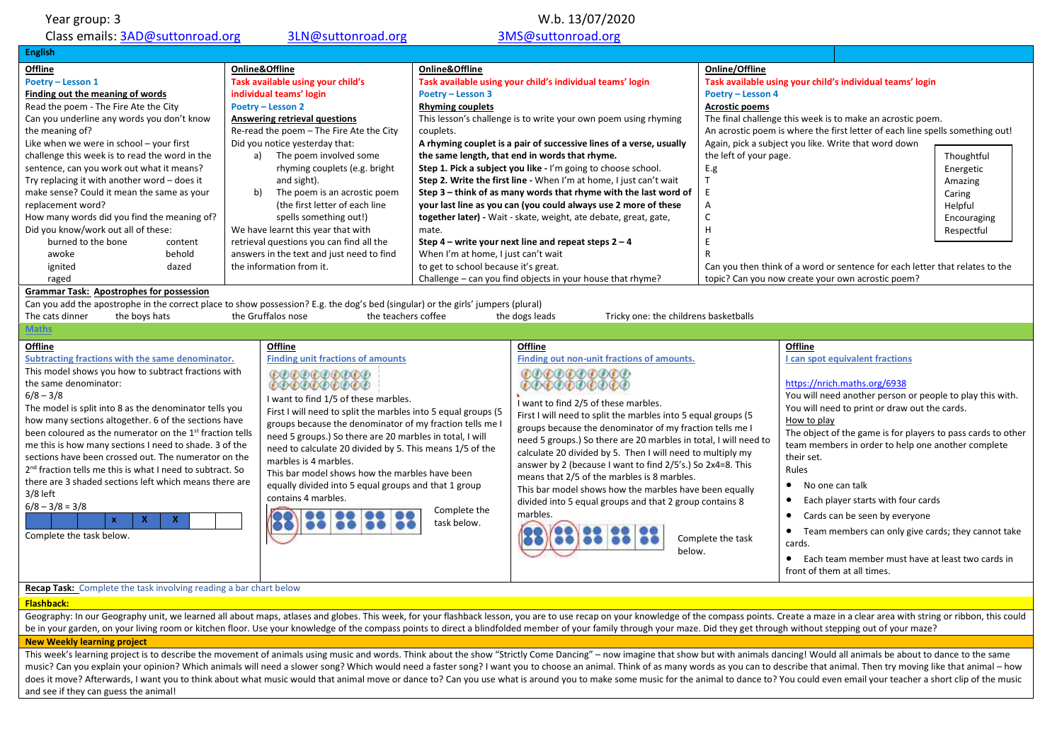| Year group: 3                                                                                                                                                                                                                                                                                                                                                                                                                                                                                                                                                                                                                                                                                 | W.b. 13/07/2020                                                                                                                                                                                                                                                                                                                                                                                                                                                                                                                                                                                                                                                                                                                                                                                                                                                                                                                                                                                                                                                                                                                                                                   |                             |                                                                                                                                                                                                                                                                                                                                                                                                                                                                                                                                                                                                                                                                                      |                                                                                                                                       |                                                                                                                                                                                                                                                                                                                                                                                                                                                                                                                                                                                                                                            |                                                                                      |
|-----------------------------------------------------------------------------------------------------------------------------------------------------------------------------------------------------------------------------------------------------------------------------------------------------------------------------------------------------------------------------------------------------------------------------------------------------------------------------------------------------------------------------------------------------------------------------------------------------------------------------------------------------------------------------------------------|-----------------------------------------------------------------------------------------------------------------------------------------------------------------------------------------------------------------------------------------------------------------------------------------------------------------------------------------------------------------------------------------------------------------------------------------------------------------------------------------------------------------------------------------------------------------------------------------------------------------------------------------------------------------------------------------------------------------------------------------------------------------------------------------------------------------------------------------------------------------------------------------------------------------------------------------------------------------------------------------------------------------------------------------------------------------------------------------------------------------------------------------------------------------------------------|-----------------------------|--------------------------------------------------------------------------------------------------------------------------------------------------------------------------------------------------------------------------------------------------------------------------------------------------------------------------------------------------------------------------------------------------------------------------------------------------------------------------------------------------------------------------------------------------------------------------------------------------------------------------------------------------------------------------------------|---------------------------------------------------------------------------------------------------------------------------------------|--------------------------------------------------------------------------------------------------------------------------------------------------------------------------------------------------------------------------------------------------------------------------------------------------------------------------------------------------------------------------------------------------------------------------------------------------------------------------------------------------------------------------------------------------------------------------------------------------------------------------------------------|--------------------------------------------------------------------------------------|
| Class emails: 3AD@suttonroad.org                                                                                                                                                                                                                                                                                                                                                                                                                                                                                                                                                                                                                                                              | 3LN@suttonroad.org                                                                                                                                                                                                                                                                                                                                                                                                                                                                                                                                                                                                                                                                                                                                                                                                                                                                                                                                                                                                                                                                                                                                                                |                             | 3MS@suttonroad.org                                                                                                                                                                                                                                                                                                                                                                                                                                                                                                                                                                                                                                                                   |                                                                                                                                       |                                                                                                                                                                                                                                                                                                                                                                                                                                                                                                                                                                                                                                            |                                                                                      |
| <b>English</b>                                                                                                                                                                                                                                                                                                                                                                                                                                                                                                                                                                                                                                                                                |                                                                                                                                                                                                                                                                                                                                                                                                                                                                                                                                                                                                                                                                                                                                                                                                                                                                                                                                                                                                                                                                                                                                                                                   |                             |                                                                                                                                                                                                                                                                                                                                                                                                                                                                                                                                                                                                                                                                                      |                                                                                                                                       |                                                                                                                                                                                                                                                                                                                                                                                                                                                                                                                                                                                                                                            |                                                                                      |
| Offline<br>Poetry - Lesson 1<br>Finding out the meaning of words<br>Read the poem - The Fire Ate the City<br>Can you underline any words you don't know<br>the meaning of?<br>Like when we were in school - your first<br>challenge this week is to read the word in the<br>sentence, can you work out what it means?<br>Try replacing it with another word - does it<br>make sense? Could it mean the same as your<br>replacement word?<br>How many words did you find the meaning of?<br>Did you know/work out all of these:<br>burned to the bone<br>content<br>awoke<br>behold<br>ignited<br>dazed<br>raged<br><b>Grammar Task: Apostrophes for possession</b>                            | Online&Offline<br>Online&Offline<br>Task available using your child's<br>Task available using your child's individual teams' login<br>individual teams' login<br>Poetry - Lesson 3<br>Poetry - Lesson 2<br><b>Rhyming couplets</b><br>Answering retrieval questions<br>Re-read the poem - The Fire Ate the City<br>couplets.<br>Did you notice yesterday that:<br>a) The poem involved some<br>the same length, that end in words that rhyme.<br>Step 1. Pick a subject you like - I'm going to choose school.<br>rhyming couplets (e.g. bright<br>and sight).<br>b)<br>The poem is an acrostic poem<br>(the first letter of each line<br>spells something out!)<br>We have learnt this year that with<br>mate.<br>retrieval questions you can find all the<br>Step $4$ – write your next line and repeat steps $2 - 4$<br>answers in the text and just need to find<br>When I'm at home, I just can't wait<br>the information from it.<br>to get to school because it's great.<br>Challenge – can you find objects in your house that rhyme?<br>Can you add the apostrophe in the correct place to show possession? E.g. the dog's bed (singular) or the girls' jumpers (plural) |                             | This lesson's challenge is to write your own poem using rhyming<br>A rhyming couplet is a pair of successive lines of a verse, usually<br>Step 2. Write the first line - When I'm at home, I just can't wait<br>Step 3 - think of as many words that rhyme with the last word of<br>your last line as you can (you could always use 2 more of these<br>together later) - Wait - skate, weight, ate debate, great, gate,                                                                                                                                                                                                                                                              | Online/Offline<br>Poetry - Lesson 4<br><b>Acrostic poems</b><br>the left of your page.<br>E.g<br>$\mathsf T$<br>E<br>A<br>C<br>H<br>E | Task available using your child's individual teams' login<br>The final challenge this week is to make an acrostic poem.<br>An acrostic poem is where the first letter of each line spells something out!<br>Again, pick a subject you like. Write that word down<br>Can you then think of a word or sentence for each letter that relates to the<br>topic? Can you now create your own acrostic poem?                                                                                                                                                                                                                                      | Thoughtful<br>Energetic<br>Amazing<br>Caring<br>Helpful<br>Encouraging<br>Respectful |
| The cats dinner                                                                                                                                                                                                                                                                                                                                                                                                                                                                                                                                                                                                                                                                               |                                                                                                                                                                                                                                                                                                                                                                                                                                                                                                                                                                                                                                                                                                                                                                                                                                                                                                                                                                                                                                                                                                                                                                                   |                             |                                                                                                                                                                                                                                                                                                                                                                                                                                                                                                                                                                                                                                                                                      |                                                                                                                                       |                                                                                                                                                                                                                                                                                                                                                                                                                                                                                                                                                                                                                                            |                                                                                      |
|                                                                                                                                                                                                                                                                                                                                                                                                                                                                                                                                                                                                                                                                                               |                                                                                                                                                                                                                                                                                                                                                                                                                                                                                                                                                                                                                                                                                                                                                                                                                                                                                                                                                                                                                                                                                                                                                                                   |                             |                                                                                                                                                                                                                                                                                                                                                                                                                                                                                                                                                                                                                                                                                      |                                                                                                                                       |                                                                                                                                                                                                                                                                                                                                                                                                                                                                                                                                                                                                                                            |                                                                                      |
| the boys hats<br>Maths                                                                                                                                                                                                                                                                                                                                                                                                                                                                                                                                                                                                                                                                        | the Gruffalos nose                                                                                                                                                                                                                                                                                                                                                                                                                                                                                                                                                                                                                                                                                                                                                                                                                                                                                                                                                                                                                                                                                                                                                                | the teachers coffee         | the dogs leads<br>Tricky one: the childrens basketballs                                                                                                                                                                                                                                                                                                                                                                                                                                                                                                                                                                                                                              |                                                                                                                                       |                                                                                                                                                                                                                                                                                                                                                                                                                                                                                                                                                                                                                                            |                                                                                      |
| Offline<br>Subtracting fractions with the same denominator.<br>This model shows you how to subtract fractions with<br>the same denominator:<br>$6/8 - 3/8$<br>The model is split into 8 as the denominator tells you<br>how many sections altogether. 6 of the sections have<br>been coloured as the numerator on the 1 <sup>st</sup> fraction tells<br>me this is how many sections I need to shade. 3 of the<br>sections have been crossed out. The numerator on the<br>2 <sup>nd</sup> fraction tells me this is what I need to subtract. So<br>there are 3 shaded sections left which means there are<br>$3/8$ left<br>$6/8 - 3/8 = 3/8$<br>$\pmb{\chi}$<br>x<br>Complete the task below. | Offline<br><b>Finding unit fractions of amounts</b><br><b>GOODGOODGO</b><br><i><b>©®®®®®®®®</b>®</i><br>I want to find 1/5 of these marbles.<br>First I will need to split the marbles into 5 equal groups (5<br>groups because the denominator of my fraction tells me I<br>need 5 groups.) So there are 20 marbles in total, I will<br>need to calculate 20 divided by 5. This means 1/5 of the<br>marbles is 4 marbles.<br>This bar model shows how the marbles have been<br>equally divided into 5 equal groups and that 1 group<br>contains 4 marbles.<br>88 88 88 88                                                                                                                                                                                                                                                                                                                                                                                                                                                                                                                                                                                                        | Complete the<br>task below. | <b>Offline</b><br>Finding out non-unit fractions of amounts.<br><b>CODDODODO</b><br><i><b>©®®®®®®®®</b>®</i><br>I want to find 2/5 of these marbles.<br>First I will need to split the marbles into 5 equal groups (5<br>groups because the denominator of my fraction tells me I<br>need 5 groups.) So there are 20 marbles in total, I will need to<br>calculate 20 divided by 5. Then I will need to multiply my<br>answer by 2 (because I want to find 2/5's.) So 2x4=8. This<br>means that 2/5 of the marbles is 8 marbles.<br>This bar model shows how the marbles have been equally<br>divided into 5 equal groups and that 2 group contains 8<br>marbles.<br>88 89<br>below. | Complete the task                                                                                                                     | Offline<br>I can spot equivalent fractions<br>https://nrich.maths.org/6938<br>You will need another person or people to play this with.<br>You will need to print or draw out the cards.<br>How to play<br>The object of the game is for players to pass cards to other<br>team members in order to help one another complete<br>their set.<br>Rules<br>• No one can talk<br>Each player starts with four cards<br>$\bullet$<br>Cards can be seen by everyone<br>$\bullet$<br>Team members can only give cards; they cannot take<br>$\bullet$<br>cards.<br>Each team member must have at least two cards in<br>front of them at all times. |                                                                                      |
| Recap Task: Complete the task involving reading a bar chart below                                                                                                                                                                                                                                                                                                                                                                                                                                                                                                                                                                                                                             |                                                                                                                                                                                                                                                                                                                                                                                                                                                                                                                                                                                                                                                                                                                                                                                                                                                                                                                                                                                                                                                                                                                                                                                   |                             |                                                                                                                                                                                                                                                                                                                                                                                                                                                                                                                                                                                                                                                                                      |                                                                                                                                       |                                                                                                                                                                                                                                                                                                                                                                                                                                                                                                                                                                                                                                            |                                                                                      |
| <b>Flashback:</b><br>Geography: In our Geography unit, we learned all about maps, atlases and globes. This week, for your flashback lesson, you are to use recap on your knowledge of the compass points. Create a maze in a clear area with string                                                                                                                                                                                                                                                                                                                                                                                                                                           |                                                                                                                                                                                                                                                                                                                                                                                                                                                                                                                                                                                                                                                                                                                                                                                                                                                                                                                                                                                                                                                                                                                                                                                   |                             |                                                                                                                                                                                                                                                                                                                                                                                                                                                                                                                                                                                                                                                                                      |                                                                                                                                       |                                                                                                                                                                                                                                                                                                                                                                                                                                                                                                                                                                                                                                            |                                                                                      |

**New Weekly learning project**

This week's learning project is to describe the movement of animals using music and words. Think about the show "Strictly Come Dancing" - now imagine that show but with animals dancing! Would all animals be about to dance music? Can you explain your opinion? Which animals will need a slower song? Which would need a faster song? I want you to choose an animal. Think of as many words as you can to describe that animal. Then try moving like th does it move? Afterwards, I want you to think about what music would that animal move or dance to? Can you use what is around you to make some music for the animal to dance to? You could even email your teacher a short cli and see if they can guess the animal!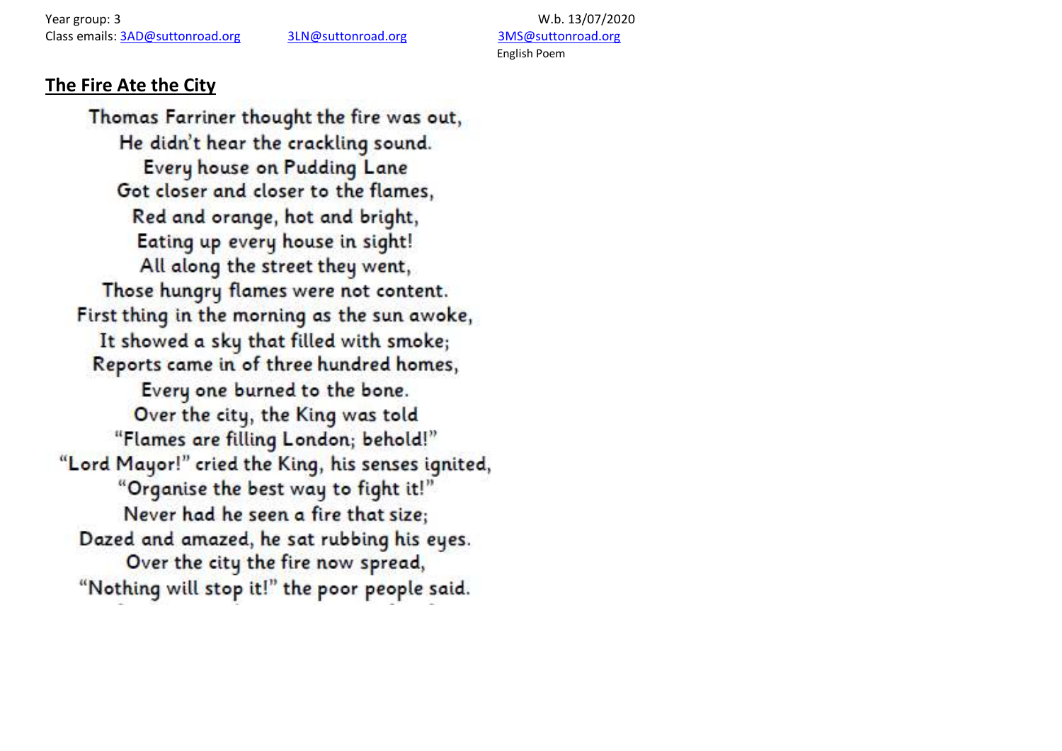Year group: 3 W.b. 13/07/2020 Class emails: [3AD@suttonroad.org](mailto:3AD@suttonroad.org) [3LN@suttonroad.org](mailto:3LN@suttonroad.org) [3MS@suttonroad.org](mailto:3MS@suttonroad.org)

English Poem

### **The Fire Ate the City**

Thomas Farriner thought the fire was out, He didn't hear the crackling sound. Every house on Pudding Lane Got closer and closer to the flames. Red and orange, hot and bright, Eating up every house in sight! All along the street they went, Those hungry flames were not content. First thing in the morning as the sun awoke, It showed a sky that filled with smoke; Reports came in of three hundred homes, Every one burned to the bone. Over the city, the King was told "Flames are filling London; behold!" "Lord Mayor!" cried the King, his senses ignited, "Organise the best way to fight it!" Never had he seen a fire that size: Dazed and amazed, he sat rubbing his eyes. Over the city the fire now spread, "Nothing will stop it!" the poor people said.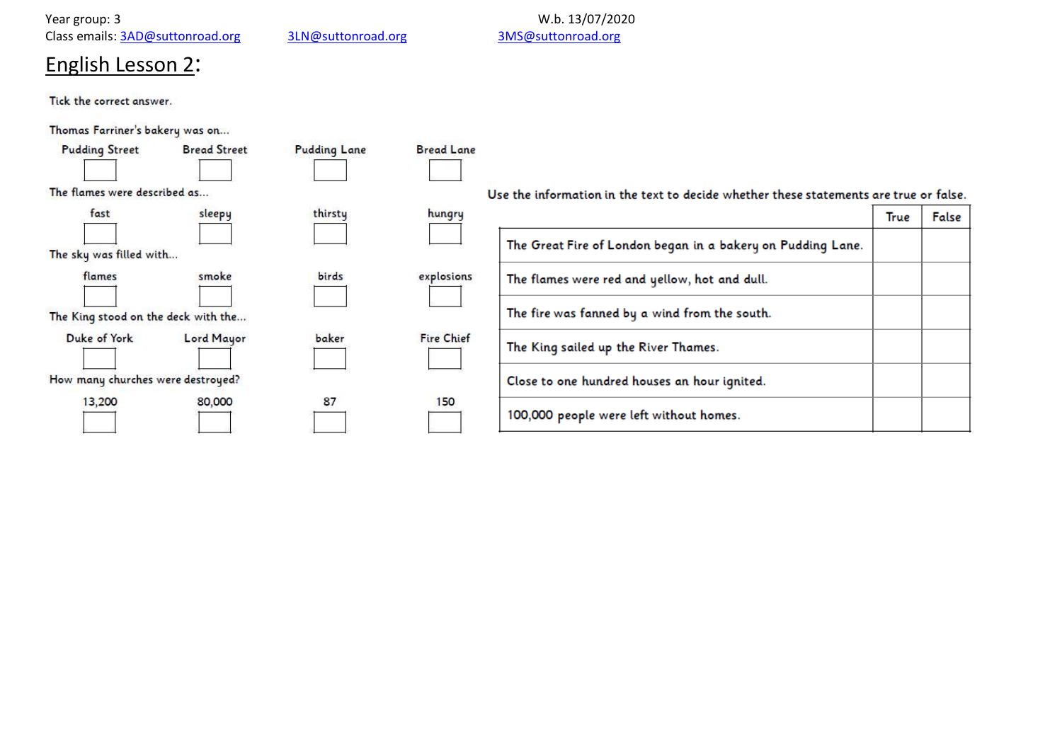Class emails: [3AD@suttonroad.org](mailto:3AD@suttonroad.org)

Year group: 3<br>Class emails: <u>3AD@suttonroad.org</u> and 3LN@suttonroad.org 3MS@suttonroad.org 3MS@suttonroad.org

# English Lesson 2:

Tick the correct answer.

Thomas Farriner's bakery was on...

| <b>Pudding Street</b>               | <b>Bread Street</b> | <b>Pudding Lane</b> | <b>Bread Lane</b> |                                                                                       |             |       |
|-------------------------------------|---------------------|---------------------|-------------------|---------------------------------------------------------------------------------------|-------------|-------|
| The flames were described as        |                     |                     |                   | Use the information in the text to decide whether these statements are true or false. |             |       |
| fast                                | sleepy              | thirsty             | hungry            |                                                                                       | <b>True</b> | False |
| The sky was filled with             |                     |                     |                   | The Great Fire of London began in a bakery on Pudding Lane.                           |             |       |
| flames                              | smoke               | birds               | explosions        | The flames were red and yellow, hot and dull.                                         |             |       |
| The King stood on the deck with the |                     |                     |                   | The fire was fanned by a wind from the south.                                         |             |       |
| Duke of York                        | Lord Mayor          | baker               | <b>Fire Chief</b> | The King sailed up the River Thames.                                                  |             |       |
| How many churches were destroyed?   |                     |                     |                   | Close to one hundred houses an hour ignited.                                          |             |       |
| 13,200                              | 80,000              | 87                  | 150               | 100,000 people were left without homes.                                               |             |       |
|                                     |                     |                     |                   |                                                                                       |             |       |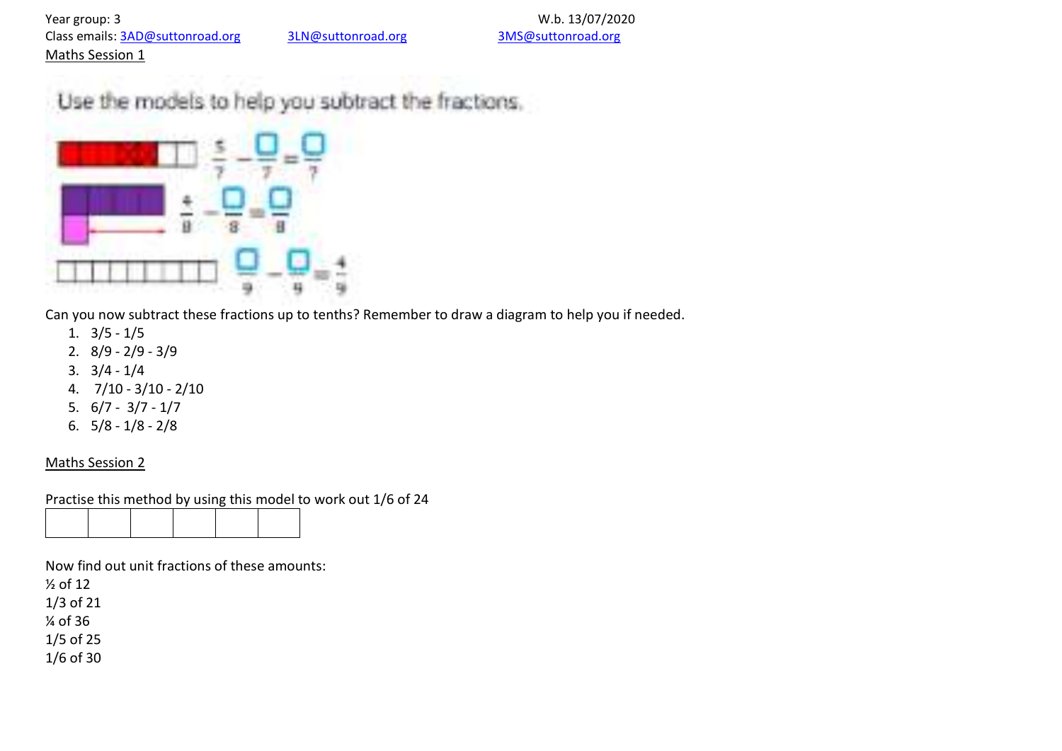Year group: 3<br>Class emails: 3AD@suttonroad.org 3LN@suttonroad.org 3MS@suttonroad.org 3MS@suttonroad.org Class emails: [3AD@suttonroad.org](mailto:3AD@suttonroad.org) 3LN@suttonroad.org Maths Session 1

Use the models to help you subtract the fractions.



Can you now subtract these fractions up to tenths? Remember to draw a diagram to help you if needed.

- 1. 3/5 1/5
- 2. 8/9 2/9 3/9
- 3. 3/4 1/4
- 4. 7/10 3/10 2/10
- 5. 6/7 3/7 1/7
- 6. 5/8 1/8 2/8

#### Maths Session 2

Practise this method by using this model to work out 1/6 of 24

Now find out unit fractions of these amounts:

½ of 12 1/3 of 21

¼ of 36

1/5 of 25

1/6 of 30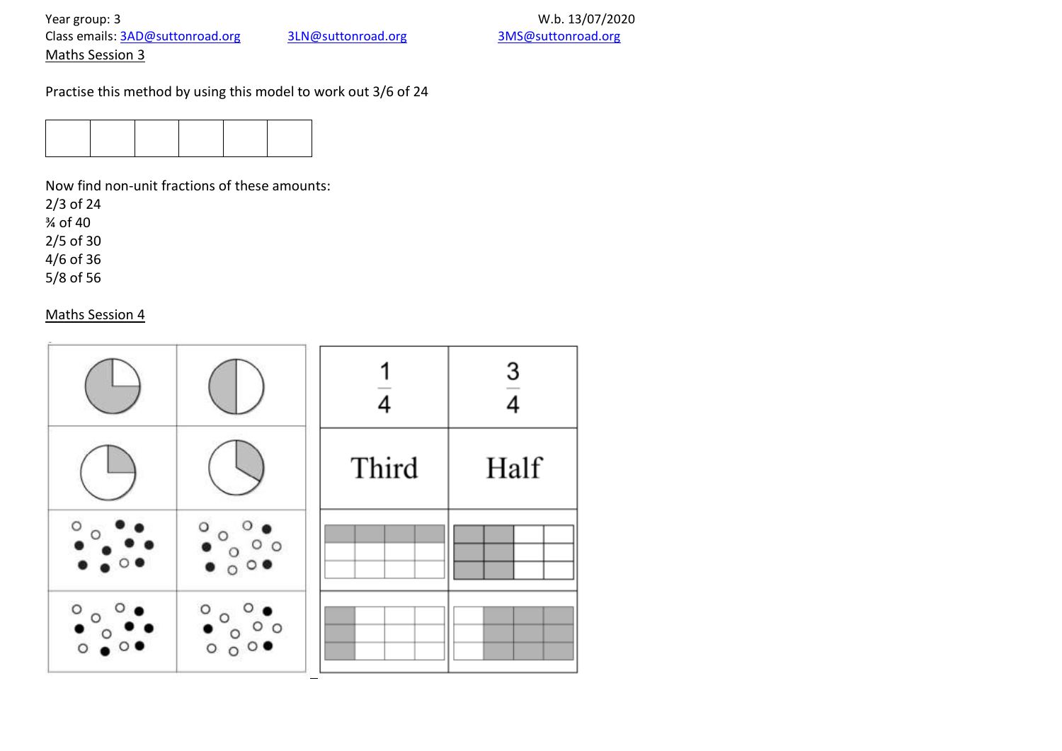## Year group: 3<br>Class emails: <u>3AD@suttonroad.org</u> and 3LN@suttonroad.org 3MS@suttonroad.org 3MS@suttonroad.org Class emails: [3AD@suttonroad.org](mailto:3AD@suttonroad.org)

Maths Session 3

Practise this method by using this model to work out 3/6 of 24



Now find non-unit fractions of these amounts:

2/3 of 24

¾ of 40

2/5 of 30

4/6 of 36

5/8 of 56

#### Maths Session 4

|                                 |                                      |       | $\mathbf{3}$ |
|---------------------------------|--------------------------------------|-------|--------------|
|                                 |                                      | Third | Half         |
| O                               | О                                    |       |              |
| $\circ$ <sub>t</sub><br>$\circ$ | $\circ$<br>0 <sub>o</sub><br>$\circ$ |       |              |